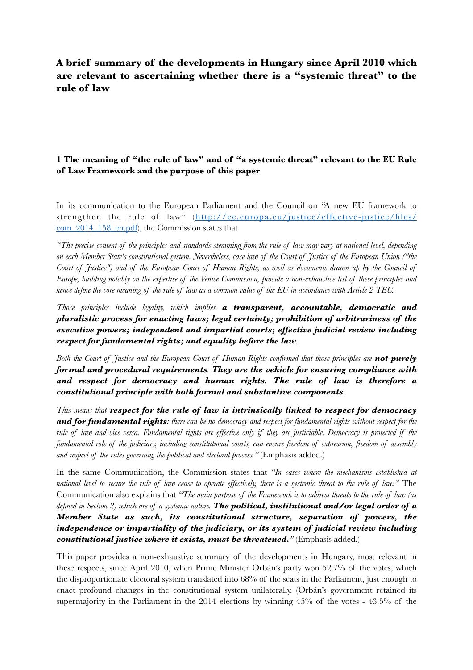# **A brief summary of the developments in Hungary since April 2010 which are relevant to ascertaining whether there is a "systemic threat" to the rule of law**

## **1 The meaning of "the rule of law" and of "a systemic threat" relevant to the EU Rule of Law Framework and the purpose of this paper**

In its communication to the European Parliament and the Council on "A new EU framework to strengthen the rule of law" ([http://ec.europa.eu/justice/effective-justice/files/](http://ec.europa.eu/justice/effective-justice/files/com_2014_158_en.pdf) [com\\_2014\\_158\\_en.pdf\)](http://ec.europa.eu/justice/effective-justice/files/com_2014_158_en.pdf), the Commission states that

*"The precise content of the principles and standards stemming from the rule of law may vary at national level, depending on each Member State's constitutional system. Nevertheless, case law of the Court of Justice of the European Union ("the Court of Justice") and of the European Court of Human Rights, as well as documents drawn up by the Council of Europe, building notably on the expertise of the Venice Commission, provide a non-exhaustive list of these principles and hence define the core meaning of the rule of law as a common value of the EU in accordance with Article 2 TEU.*

*Those principles include legality, which implies a transparent, accountable, democratic and pluralistic process for enacting laws; legal certainty; prohibition of arbitrariness of the executive powers; independent and impartial courts; effective judicial review including respect for fundamental rights; and equality before the law.* 

*Both the Court of Justice and the European Court of Human Rights confirmed that those principles are not purely formal and procedural requirements. They are the vehicle for ensuring compliance with and respect for democracy and human rights. The rule of law is therefore a constitutional principle with both formal and substantive components.* 

*This means that respect for the rule of law is intrinsically linked to respect for democracy and for fundamental rights: there can be no democracy and respect for fundamental rights without respect for the rule of law and vice versa. Fundamental rights are effective only if they are justiciable. Democracy is protected if the fundamental role of the judiciary, including constitutional courts, can ensure freedom of expression, freedom of assembly and respect of the rules governing the political and electoral process.*" (Emphasis added.)

In the same Communication, the Commission states that *"In cases where the mechanisms established at national level to secure the rule of law cease to operate effectively, there is a systemic threat to the rule of law."* The Communication also explains that *"The main purpose of the Framework is to address threats to the rule of law (as defined in Section 2) which are of a systemic nature. The political, institutional and/or legal order of a Member State as such, its constitutional structure, separation of powers, the independence or impartiality of the judiciary, or its system of judicial review including constitutional justice where it exists, must be threatened."* (Emphasis added.)

This paper provides a non-exhaustive summary of the developments in Hungary, most relevant in these respects, since April 2010, when Prime Minister Orbán's party won 52.7% of the votes, which the disproportionate electoral system translated into 68% of the seats in the Parliament, just enough to enact profound changes in the constitutional system unilaterally. (Orbán's government retained its supermajority in the Parliament in the 2014 elections by winning 45% of the votes - 43.5% of the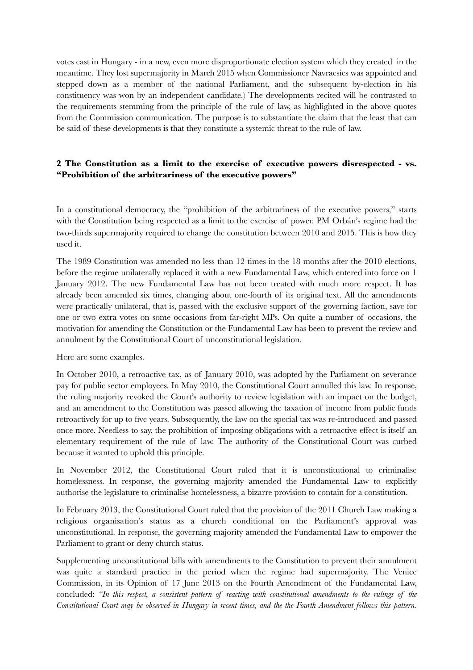votes cast in Hungary - in a new, even more disproportionate election system which they created in the meantime. They lost supermajority in March 2015 when Commissioner Navracsics was appointed and stepped down as a member of the national Parliament, and the subsequent by-election in his constituency was won by an independent candidate.) The developments recited will be contrasted to the requirements stemming from the principle of the rule of law, as highlighted in the above quotes from the Commission communication. The purpose is to substantiate the claim that the least that can be said of these developments is that they constitute a systemic threat to the rule of law.

### **2 The Constitution as a limit to the exercise of executive powers disrespected - vs. "Prohibition of the arbitrariness of the executive powers"**

In a constitutional democracy, the "prohibition of the arbitrariness of the executive powers," starts with the Constitution being respected as a limit to the exercise of power. PM Orbán's regime had the two-thirds supermajority required to change the constitution between 2010 and 2015. This is how they used it.

The 1989 Constitution was amended no less than 12 times in the 18 months after the 2010 elections, before the regime unilaterally replaced it with a new Fundamental Law, which entered into force on 1 January 2012. The new Fundamental Law has not been treated with much more respect. It has already been amended six times, changing about one-fourth of its original text. All the amendments were practically unilateral, that is, passed with the exclusive support of the governing faction, save for one or two extra votes on some occasions from far-right MPs. On quite a number of occasions, the motivation for amending the Constitution or the Fundamental Law has been to prevent the review and annulment by the Constitutional Court of unconstitutional legislation.

Here are some examples.

In October 2010, a retroactive tax, as of January 2010, was adopted by the Parliament on severance pay for public sector employees. In May 2010, the Constitutional Court annulled this law. In response, the ruling majority revoked the Court's authority to review legislation with an impact on the budget, and an amendment to the Constitution was passed allowing the taxation of income from public funds retroactively for up to five years. Subsequently, the law on the special tax was re-introduced and passed once more. Needless to say, the prohibition of imposing obligations with a retroactive effect is itself an elementary requirement of the rule of law. The authority of the Constitutional Court was curbed because it wanted to uphold this principle.

In November 2012, the Constitutional Court ruled that it is unconstitutional to criminalise homelessness. In response, the governing majority amended the Fundamental Law to explicitly authorise the legislature to criminalise homelessness, a bizarre provision to contain for a constitution.

In February 2013, the Constitutional Court ruled that the provision of the 2011 Church Law making a religious organisation's status as a church conditional on the Parliament's approval was unconstitutional. In response, the governing majority amended the Fundamental Law to empower the Parliament to grant or deny church status.

Supplementing unconstitutional bills with amendments to the Constitution to prevent their annulment was quite a standard practice in the period when the regime had supermajority. The Venice Commission, in its Opinion of 17 June 2013 on the Fourth Amendment of the Fundamental Law, concluded: *"In this respect, a consistent pattern of reacting with constitutional amendments to the rulings of the Constitutional Court may be observed in Hungary in recent times, and the the Fourth Amendment follows this pattern.*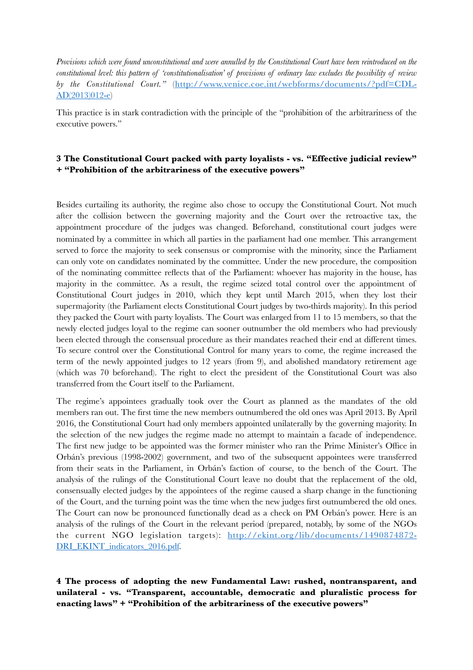*Provisions which were found unconstitutional and were annulled by the Constitutional Court have been reintroduced on the constitutional level: this pattern of 'constitutionalisation' of provisions of ordinary law excludes the possibility of review by the Constitutional Court."* ([http://www.venice.coe.int/webforms/documents/?pdf=CDL-](http://www.venice.coe.int/webforms/documents/?pdf=CDL-AD(2013)012-e)[AD\(2013\)012-e\)](http://www.venice.coe.int/webforms/documents/?pdf=CDL-AD(2013)012-e)

This practice is in stark contradiction with the principle of the "prohibition of the arbitrariness of the executive powers."

### **3 The Constitutional Court packed with party loyalists - vs. "Effective judicial review" + "Prohibition of the arbitrariness of the executive powers"**

Besides curtailing its authority, the regime also chose to occupy the Constitutional Court. Not much after the collision between the governing majority and the Court over the retroactive tax, the appointment procedure of the judges was changed. Beforehand, constitutional court judges were nominated by a committee in which all parties in the parliament had one member. This arrangement served to force the majority to seek consensus or compromise with the minority, since the Parliament can only vote on candidates nominated by the committee. Under the new procedure, the composition of the nominating committee reflects that of the Parliament: whoever has majority in the house, has majority in the committee. As a result, the regime seized total control over the appointment of Constitutional Court judges in 2010, which they kept until March 2015, when they lost their supermajority (the Parliament elects Constitutional Court judges by two-thirds majority). In this period they packed the Court with party loyalists. The Court was enlarged from 11 to 15 members, so that the newly elected judges loyal to the regime can sooner outnumber the old members who had previously been elected through the consensual procedure as their mandates reached their end at different times. To secure control over the Constitutional Control for many years to come, the regime increased the term of the newly appointed judges to 12 years (from 9), and abolished mandatory retirement age (which was 70 beforehand). The right to elect the president of the Constitutional Court was also transferred from the Court itself to the Parliament.

The regime's appointees gradually took over the Court as planned as the mandates of the old members ran out. The first time the new members outnumbered the old ones was April 2013. By April 2016, the Constitutional Court had only members appointed unilaterally by the governing majority. In the selection of the new judges the regime made no attempt to maintain a facade of independence. The first new judge to be appointed was the former minister who ran the Prime Minister's Office in Orbán's previous (1998-2002) government, and two of the subsequent appointees were transferred from their seats in the Parliament, in Orbán's faction of course, to the bench of the Court. The analysis of the rulings of the Constitutional Court leave no doubt that the replacement of the old, consensually elected judges by the appointees of the regime caused a sharp change in the functioning of the Court, and the turning point was the time when the new judges first outnumbered the old ones. The Court can now be pronounced functionally dead as a check on PM Orbán's power. Here is an analysis of the rulings of the Court in the relevant period (prepared, notably, by some of the NGOs the current NGO legislation targets): [http://ekint.org/lib/documents/1490874872-](http://ekint.org/lib/documents/1490874872-DRI_EKINT_indicators_2016.pdf) [DRI\\_EKINT\\_indicators\\_2016.pdf](http://ekint.org/lib/documents/1490874872-DRI_EKINT_indicators_2016.pdf).

**4 The process of adopting the new Fundamental Law: rushed, nontransparent, and unilateral - vs. "Transparent, accountable, democratic and pluralistic process for enacting laws" + "Prohibition of the arbitrariness of the executive powers"**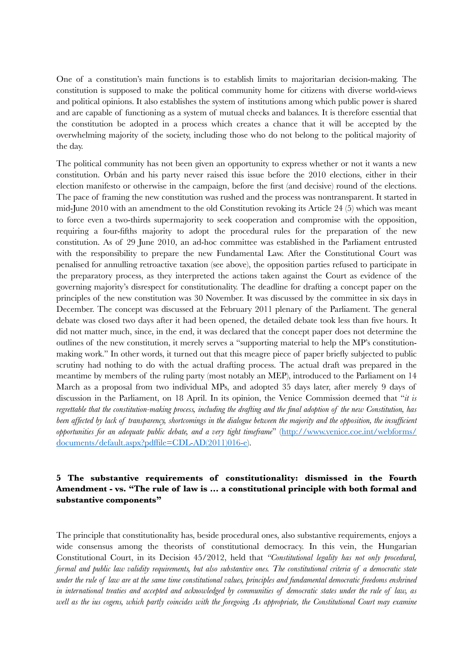One of a constitution's main functions is to establish limits to majoritarian decision-making. The constitution is supposed to make the political community home for citizens with diverse world-views and political opinions. It also establishes the system of institutions among which public power is shared and are capable of functioning as a system of mutual checks and balances. It is therefore essential that the constitution be adopted in a process which creates a chance that it will be accepted by the overwhelming majority of the society, including those who do not belong to the political majority of the day.

The political community has not been given an opportunity to express whether or not it wants a new constitution. Orbán and his party never raised this issue before the 2010 elections, either in their election manifesto or otherwise in the campaign, before the first (and decisive) round of the elections. The pace of framing the new constitution was rushed and the process was nontransparent. It started in mid-June 2010 with an amendment to the old Constitution revoking its Article 24 (5) which was meant to force even a two-thirds supermajority to seek cooperation and compromise with the opposition, requiring a four-fifths majority to adopt the procedural rules for the preparation of the new constitution. As of 29 June 2010, an ad-hoc committee was established in the Parliament entrusted with the responsibility to prepare the new Fundamental Law. After the Constitutional Court was penalised for annulling retroactive taxation (see above), the opposition parties refused to participate in the preparatory process, as they interpreted the actions taken against the Court as evidence of the governing majority's disrespect for constitutionality. The deadline for drafting a concept paper on the principles of the new constitution was 30 November. It was discussed by the committee in six days in December. The concept was discussed at the February 2011 plenary of the Parliament. The general debate was closed two days after it had been opened, the detailed debate took less than five hours. It did not matter much, since, in the end, it was declared that the concept paper does not determine the outlines of the new constitution, it merely serves a "supporting material to help the MP's constitutionmaking work." In other words, it turned out that this meagre piece of paper briefly subjected to public scrutiny had nothing to do with the actual drafting process. The actual draft was prepared in the meantime by members of the ruling party (most notably an MEP), introduced to the Parliament on 14 March as a proposal from two individual MPs, and adopted 35 days later, after merely 9 days of discussion in the Parliament, on 18 April. In its opinion, the Venice Commission deemed that "*it is regrettable that the constitution-making process, including the drafting and the final adoption of the new Constitution, has been affected by lack of transparency, shortcomings in the dialogue between the majority and the opposition, the insufficient opportunities for an adequate public debate, and a very tight timeframe*" [\(http://www.venice.coe.int/webforms/](http://www.venice.coe.int/webforms/documents/default.aspx?pdffile=CDL-AD(2011)016-e) [documents/default.aspx?pdffile=CDL-AD\(2011\)016-e\)](http://www.venice.coe.int/webforms/documents/default.aspx?pdffile=CDL-AD(2011)016-e).

### **5 The substantive requirements of constitutionality: dismissed in the Fourth Amendment - vs. "The rule of law is … a constitutional principle with both formal and substantive components"**

The principle that constitutionality has, beside procedural ones, also substantive requirements, enjoys a wide consensus among the theorists of constitutional democracy. In this vein, the Hungarian Constitutional Court, in its Decision 45/2012, held that *"Constitutional legality has not only procedural, formal and public law validity requirements, but also substantive ones. The constitutional criteria of a democratic state under the rule of law are at the same time constitutional values, principles and fundamental democratic freedoms enshrined in international treaties and accepted and acknowledged by communities of democratic states under the rule of law, as well as the ius cogens, which partly coincides with the foregoing. As appropriate, the Constitutional Court may examine*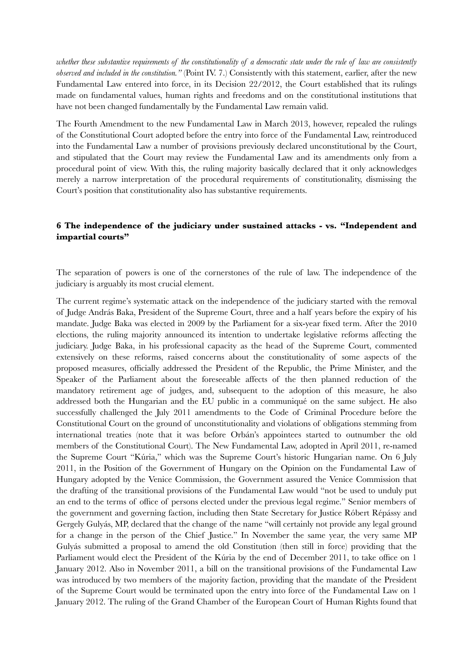*whether these substantive requirements of the constitutionality of a democratic state under the rule of law are consistently observed and included in the constitution."* (Point IV. 7.) Consistently with this statement, earlier, after the new Fundamental Law entered into force, in its Decision 22/2012, the Court established that its rulings made on fundamental values, human rights and freedoms and on the constitutional institutions that have not been changed fundamentally by the Fundamental Law remain valid.

The Fourth Amendment to the new Fundamental Law in March 2013, however, repealed the rulings of the Constitutional Court adopted before the entry into force of the Fundamental Law, reintroduced into the Fundamental Law a number of provisions previously declared unconstitutional by the Court, and stipulated that the Court may review the Fundamental Law and its amendments only from a procedural point of view. With this, the ruling majority basically declared that it only acknowledges merely a narrow interpretation of the procedural requirements of constitutionality, dismissing the Court's position that constitutionality also has substantive requirements.

### **6 The independence of the judiciary under sustained attacks - vs. "Independent and impartial courts"**

The separation of powers is one of the cornerstones of the rule of law. The independence of the judiciary is arguably its most crucial element.

The current regime's systematic attack on the independence of the judiciary started with the removal of Judge András Baka, President of the Supreme Court, three and a half years before the expiry of his mandate. Judge Baka was elected in 2009 by the Parliament for a six-year fixed term. After the 2010 elections, the ruling majority announced its intention to undertake legislative reforms affecting the judiciary. Judge Baka, in his professional capacity as the head of the Supreme Court, commented extensively on these reforms, raised concerns about the constitutionality of some aspects of the proposed measures, officially addressed the President of the Republic, the Prime Minister, and the Speaker of the Parliament about the foreseeable affects of the then planned reduction of the mandatory retirement age of judges, and, subsequent to the adoption of this measure, he also addressed both the Hungarian and the EU public in a communiqué on the same subject. He also successfully challenged the July 2011 amendments to the Code of Criminal Procedure before the Constitutional Court on the ground of unconstitutionality and violations of obligations stemming from international treaties (note that it was before Orbán's appointees started to outnumber the old members of the Constitutional Court). The New Fundamental Law, adopted in April 2011, re-named the Supreme Court "Kúria," which was the Supreme Court's historic Hungarian name. On 6 July 2011, in the Position of the Government of Hungary on the Opinion on the Fundamental Law of Hungary adopted by the Venice Commission, the Government assured the Venice Commission that the drafting of the transitional provisions of the Fundamental Law would "not be used to unduly put an end to the terms of office of persons elected under the previous legal regime." Senior members of the government and governing faction, including then State Secretary for Justice Róbert Répássy and Gergely Gulyás, MP, declared that the change of the name "will certainly not provide any legal ground for a change in the person of the Chief Justice." In November the same year, the very same MP Gulyás submitted a proposal to amend the old Constitution (then still in force) providing that the Parliament would elect the President of the Kúria by the end of December 2011, to take office on 1 January 2012. Also in November 2011, a bill on the transitional provisions of the Fundamental Law was introduced by two members of the majority faction, providing that the mandate of the President of the Supreme Court would be terminated upon the entry into force of the Fundamental Law on 1 January 2012. The ruling of the Grand Chamber of the European Court of Human Rights found that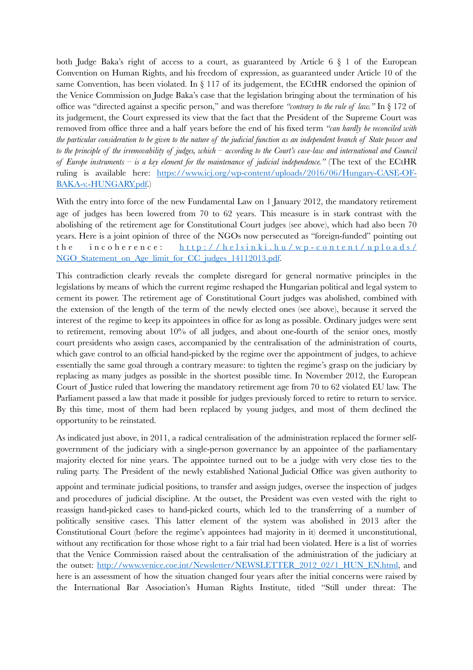both Judge Baka's right of access to a court, as guaranteed by Article 6 § 1 of the European Convention on Human Rights, and his freedom of expression, as guaranteed under Article 10 of the same Convention, has been violated. In  $\S 117$  of its judgement, the ECtHR endorsed the opinion of the Venice Commission on Judge Baka's case that the legislation bringing about the termination of his office was "directed against a specific person," and was therefore *"contrary to the rule of law."* In § 172 of its judgement, the Court expressed its view that the fact that the President of the Supreme Court was removed from office three and a half years before the end of his fixed term *"can hardly be reconciled with the particular consideration to be given to the nature of the judicial function as an independent branch of State power and to the principle of the irremovability of judges, which – according to the Court's case-law and international and Council of Europe instruments – is a key element for the maintenance of judicial independence."* (The text of the ECtHR ruling is available here: [https://www.icj.org/wp-content/uploads/2016/06/Hungary-CASE-OF-](https://www.icj.org/wp-content/uploads/2016/06/Hungary-CASE-OF-BAKA-v.-HUNGARY.pdf)[BAKA-v.-HUNGARY.pdf.](https://www.icj.org/wp-content/uploads/2016/06/Hungary-CASE-OF-BAKA-v.-HUNGARY.pdf))

With the entry into force of the new Fundamental Law on 1 January 2012, the mandatory retirement age of judges has been lowered from 70 to 62 years. This measure is in stark contrast with the abolishing of the retirement age for Constitutional Court judges (see above), which had also been 70 years. Here is a joint opinion of three of the NGOs now persecuted as "foreign-funded" pointing out the incoherence: http://helsinki.hu/wp-content/uploads/ [NGO\\_Statement\\_on\\_Age\\_limit\\_for\\_CC\\_judges\\_14112013.pdf.](http://helsinki.hu/wp-content/uploads/NGO_Statement_on_Age_limit_for_CC_judges_14112013.pdf)

This contradiction clearly reveals the complete disregard for general normative principles in the legislations by means of which the current regime reshaped the Hungarian political and legal system to cement its power. The retirement age of Constitutional Court judges was abolished, combined with the extension of the length of the term of the newly elected ones (see above), because it served the interest of the regime to keep its appointees in office for as long as possible. Ordinary judges were sent to retirement, removing about 10% of all judges, and about one-fourth of the senior ones, mostly court presidents who assign cases, accompanied by the centralisation of the administration of courts, which gave control to an official hand-picked by the regime over the appointment of judges, to achieve essentially the same goal through a contrary measure: to tighten the regime's grasp on the judiciary by replacing as many judges as possible in the shortest possible time. In November 2012, the European Court of Justice ruled that lowering the mandatory retirement age from 70 to 62 violated EU law. The Parliament passed a law that made it possible for judges previously forced to retire to return to service. By this time, most of them had been replaced by young judges, and most of them declined the opportunity to be reinstated.

As indicated just above, in 2011, a radical centralisation of the administration replaced the former selfgovernment of the judiciary with a single-person governance by an appointee of the parliamentary majority elected for nine years. The appointee turned out to be a judge with very close ties to the ruling party. The President of the newly established National Judicial Office was given authority to

appoint and terminate judicial positions, to transfer and assign judges, oversee the inspection of judges and procedures of judicial discipline. At the outset, the President was even vested with the right to reassign hand-picked cases to hand-picked courts, which led to the transferring of a number of politically sensitive cases. This latter element of the system was abolished in 2013 after the Constitutional Court (before the regime's appointees had majority in it) deemed it unconstitutional, without any rectification for those whose right to a fair trial had been violated. Here is a list of worries that the Venice Commission raised about the centralisation of the administration of the judiciary at the outset: [http://www.venice.coe.int/Newsletter/NEWSLETTER\\_2012\\_02/1\\_HUN\\_EN.html,](http://www.venice.coe.int/Newsletter/NEWSLETTER_2012_02/1_HUN_EN.html) and here is an assessment of how the situation changed four years after the initial concerns were raised by the International Bar Association's Human Rights Institute, titled "Still under threat: The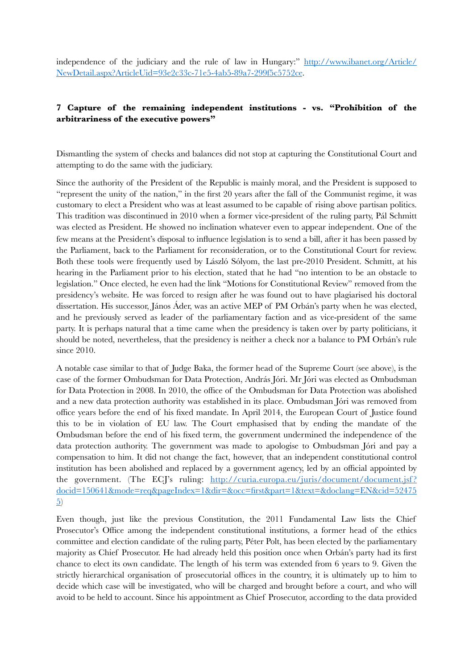independence of the judiciary and the rule of law in Hungary:" [http://www.ibanet.org/Article/](http://www.ibanet.org/Article/NewDetail.aspx?ArticleUid=93e2c33c-71e5-4ab5-89a7-299f5c5752ce) [NewDetail.aspx?ArticleUid=93e2c33c-71e5-4ab5-89a7-299f5c5752ce](http://www.ibanet.org/Article/NewDetail.aspx?ArticleUid=93e2c33c-71e5-4ab5-89a7-299f5c5752ce).

## **7 Capture of the remaining independent institutions - vs. "Prohibition of the arbitrariness of the executive powers"**

Dismantling the system of checks and balances did not stop at capturing the Constitutional Court and attempting to do the same with the judiciary.

Since the authority of the President of the Republic is mainly moral, and the President is supposed to "represent the unity of the nation," in the first 20 years after the fall of the Communist regime, it was customary to elect a President who was at least assumed to be capable of rising above partisan politics. This tradition was discontinued in 2010 when a former vice-president of the ruling party, Pál Schmitt was elected as President. He showed no inclination whatever even to appear independent. One of the few means at the President's disposal to influence legislation is to send a bill, after it has been passed by the Parliament, back to the Parliament for reconsideration, or to the Constitutional Court for review. Both these tools were frequently used by László Sólyom, the last pre-2010 President. Schmitt, at his hearing in the Parliament prior to his election, stated that he had "no intention to be an obstacle to legislation." Once elected, he even had the link "Motions for Constitutional Review" removed from the presidency's website. He was forced to resign after he was found out to have plagiarised his doctoral dissertation. His successor, János Áder, was an active MEP of PM Orbán's party when he was elected, and he previously served as leader of the parliamentary faction and as vice-president of the same party. It is perhaps natural that a time came when the presidency is taken over by party politicians, it should be noted, nevertheless, that the presidency is neither a check nor a balance to PM Orbán's rule since 2010.

A notable case similar to that of Judge Baka, the former head of the Supreme Court (see above), is the case of the former Ombudsman for Data Protection, András Jóri. Mr Jóri was elected as Ombudsman for Data Protection in 2008. In 2010, the office of the Ombudsman for Data Protection was abolished and a new data protection authority was established in its place. Ombudsman Jóri was removed from office years before the end of his fixed mandate. In April 2014, the European Court of Justice found this to be in violation of EU law. The Court emphasised that by ending the mandate of the Ombudsman before the end of his fixed term, the government undermined the independence of the data protection authority. The government was made to apologise to Ombudsman Jóri and pay a compensation to him. It did not change the fact, however, that an independent constitutional control institution has been abolished and replaced by a government agency, led by an official appointed by the government. (The ECJ's ruling: http://curia.europa.eu/juris/document/document.jsf? [docid=150641&mode=req&pageIndex=1&dir=&occ=first&part=1&text=&doclang=EN&cid=52475](http://curia.europa.eu/juris/document/document.jsf?docid=150641&mode=req&pageIndex=1&dir=&occ=first&part=1&text=&doclang=EN&cid=524755) [5](http://curia.europa.eu/juris/document/document.jsf?docid=150641&mode=req&pageIndex=1&dir=&occ=first&part=1&text=&doclang=EN&cid=524755))

Even though, just like the previous Constitution, the 2011 Fundamental Law lists the Chief Prosecutor's Office among the independent constitutional institutions, a former head of the ethics committee and election candidate of the ruling party, Péter Polt, has been elected by the parliamentary majority as Chief Prosecutor. He had already held this position once when Orbán's party had its first chance to elect its own candidate. The length of his term was extended from 6 years to 9. Given the strictly hierarchical organisation of prosecutorial offices in the country, it is ultimately up to him to decide which case will be investigated, who will be charged and brought before a court, and who will avoid to be held to account. Since his appointment as Chief Prosecutor, according to the data provided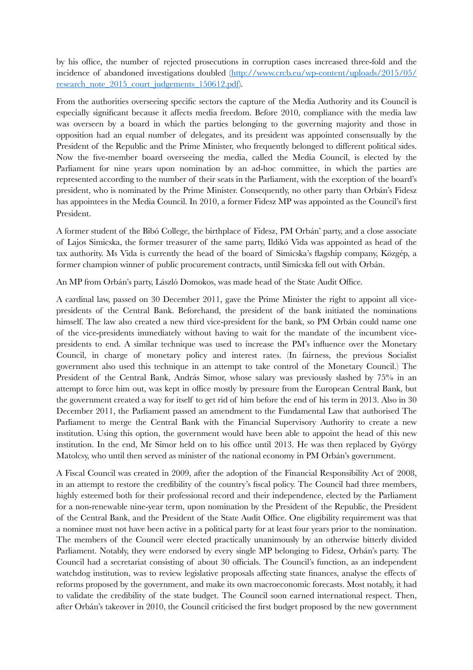by his office, the number of rejected prosecutions in corruption cases increased three-fold and the [incidence of abandoned investigations doubled \(http://www.crcb.eu/wp-content/uploads/2015/05/](http://www.crcb.eu/wp-content/uploads/2015/05/research_note_2015_court_judgements_150612.pdf) [research\\_note\\_2015\\_court\\_judgements\\_150612.pdf](http://www.crcb.eu/wp-content/uploads/2015/05/research_note_2015_court_judgements_150612.pdf)).

From the authorities overseeing specific sectors the capture of the Media Authority and its Council is especially significant because it affects media freedom. Before 2010, compliance with the media law was overseen by a board in which the parties belonging to the governing majority and those in opposition had an equal number of delegates, and its president was appointed consensually by the President of the Republic and the Prime Minister, who frequently belonged to different political sides. Now the five-member board overseeing the media, called the Media Council, is elected by the Parliament for nine years upon nomination by an ad-hoc committee, in which the parties are represented according to the number of their seats in the Parliament, with the exception of the board's president, who is nominated by the Prime Minister. Consequently, no other party than Orbán's Fidesz has appointees in the Media Council. In 2010, a former Fidesz MP was appointed as the Council's first President.

A former student of the Bibó College, the birthplace of Fidesz, PM Orbán' party, and a close associate of Lajos Simicska, the former treasurer of the same party, Ildikó Vida was appointed as head of the tax authority. Ms Vida is currently the head of the board of Simicska's flagship company, Közgép, a former champion winner of public procurement contracts, until Simicska fell out with Orbán.

An MP from Orbán's party, László Domokos, was made head of the State Audit Office.

A cardinal law, passed on 30 December 2011, gave the Prime Minister the right to appoint all vicepresidents of the Central Bank. Beforehand, the president of the bank initiated the nominations himself. The law also created a new third vice-president for the bank, so PM Orbán could name one of the vice-presidents immediately without having to wait for the mandate of the incumbent vicepresidents to end. A similar technique was used to increase the PM's influence over the Monetary Council, in charge of monetary policy and interest rates. (In fairness, the previous Socialist government also used this technique in an attempt to take control of the Monetary Council.) The President of the Central Bank, András Simor, whose salary was previously slashed by 75% in an attempt to force him out, was kept in office mostly by pressure from the European Central Bank, but the government created a way for itself to get rid of him before the end of his term in 2013. Also in 30 December 2011, the Parliament passed an amendment to the Fundamental Law that authorised The Parliament to merge the Central Bank with the Financial Supervisory Authority to create a new institution. Using this option, the government would have been able to appoint the head of this new institution. In the end, Mr Simor held on to his office until 2013. He was then replaced by György Matolcsy, who until then served as minister of the national economy in PM Orbán's government.

A Fiscal Council was created in 2009, after the adoption of the Financial Responsibility Act of 2008, in an attempt to restore the credibility of the country's fiscal policy. The Council had three members, highly esteemed both for their professional record and their independence, elected by the Parliament for a non-renewable nine-year term, upon nomination by the President of the Republic, the President of the Central Bank, and the President of the State Audit Office. One eligibility requirement was that a nominee must not have been active in a political party for at least four years prior to the nomination. The members of the Council were elected practically unanimously by an otherwise bitterly divided Parliament. Notably, they were endorsed by every single MP belonging to Fidesz, Orbán's party. The Council had a secretariat consisting of about 30 officials. The Council's function, as an independent watchdog institution, was to review legislative proposals affecting state finances, analyse the effects of reforms proposed by the government, and make its own macroeconomic forecasts. Most notably, it had to validate the credibility of the state budget. The Council soon earned international respect. Then, after Orbán's takeover in 2010, the Council criticised the first budget proposed by the new government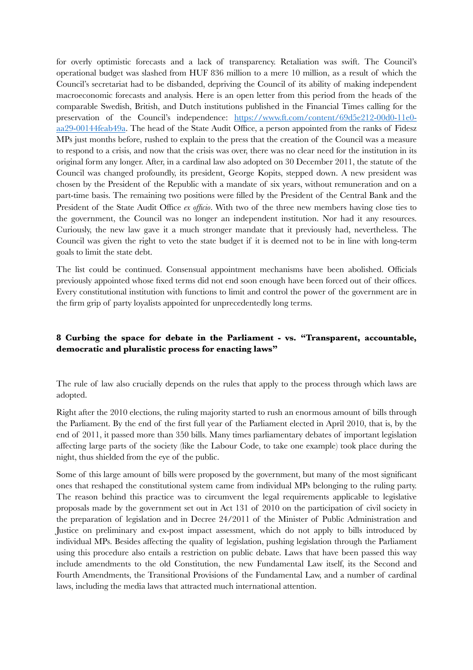for overly optimistic forecasts and a lack of transparency. Retaliation was swift. The Council's operational budget was slashed from HUF 836 million to a mere 10 million, as a result of which the Council's secretariat had to be disbanded, depriving the Council of its ability of making independent macroeconomic forecasts and analysis. Here is an open letter from this period from the heads of the comparable Swedish, British, and Dutch institutions published in the Financial Times calling for the preservation of the Council's independence: [https://www.ft.com/content/69d5e212-00d0-11e0](https://www.ft.com/content/69d5e212-00d0-11e0-aa29-00144feab49a) [aa29-00144feab49a](https://www.ft.com/content/69d5e212-00d0-11e0-aa29-00144feab49a). The head of the State Audit Office, a person appointed from the ranks of Fidesz MPs just months before, rushed to explain to the press that the creation of the Council was a measure to respond to a crisis, and now that the crisis was over, there was no clear need for the institution in its original form any longer. After, in a cardinal law also adopted on 30 December 2011, the statute of the Council was changed profoundly, its president, George Kopits, stepped down. A new president was chosen by the President of the Republic with a mandate of six years, without remuneration and on a part-time basis. The remaining two positions were filled by the President of the Central Bank and the President of the State Audit Office *ex officio*. With two of the three new members having close ties to the government, the Council was no longer an independent institution. Nor had it any resources. Curiously, the new law gave it a much stronger mandate that it previously had, nevertheless. The Council was given the right to veto the state budget if it is deemed not to be in line with long-term goals to limit the state debt.

The list could be continued. Consensual appointment mechanisms have been abolished. Officials previously appointed whose fixed terms did not end soon enough have been forced out of their offices. Every constitutional institution with functions to limit and control the power of the government are in the firm grip of party loyalists appointed for unprecedentedly long terms.

## **8 Curbing the space for debate in the Parliament - vs. "Transparent, accountable, democratic and pluralistic process for enacting laws"**

The rule of law also crucially depends on the rules that apply to the process through which laws are adopted.

Right after the 2010 elections, the ruling majority started to rush an enormous amount of bills through the Parliament. By the end of the first full year of the Parliament elected in April 2010, that is, by the end of 2011, it passed more than 350 bills. Many times parliamentary debates of important legislation affecting large parts of the society (like the Labour Code, to take one example) took place during the night, thus shielded from the eye of the public.

Some of this large amount of bills were proposed by the government, but many of the most significant ones that reshaped the constitutional system came from individual MPs belonging to the ruling party. The reason behind this practice was to circumvent the legal requirements applicable to legislative proposals made by the government set out in Act 131 of 2010 on the participation of civil society in the preparation of legislation and in Decree 24/2011 of the Minister of Public Administration and Justice on preliminary and ex-post impact assessment, which do not apply to bills introduced by individual MPs. Besides affecting the quality of legislation, pushing legislation through the Parliament using this procedure also entails a restriction on public debate. Laws that have been passed this way include amendments to the old Constitution, the new Fundamental Law itself, its the Second and Fourth Amendments, the Transitional Provisions of the Fundamental Law, and a number of cardinal laws, including the media laws that attracted much international attention.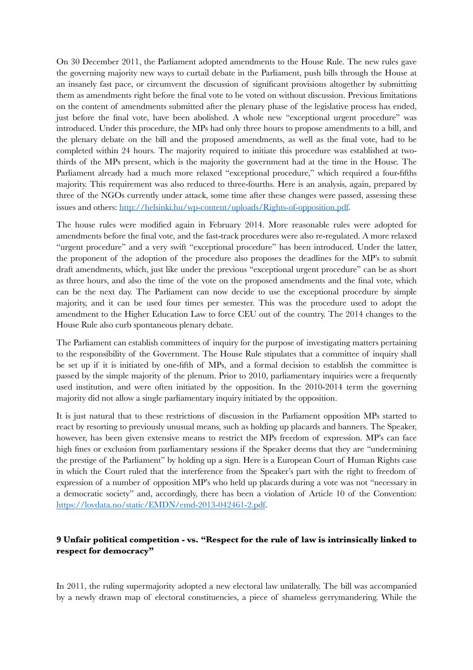On 30 December 2011, the Parliament adopted amendments to the House Rule. The new rules gave the governing majority new ways to curtail debate in the Parliament, push bills through the House at an insanely fast pace, or circumvent the discussion of significant provisions altogether by submitting them as amendments right before the final vote to be voted on without discussion. Previous limitations on the content of amendments submitted after the plenary phase of the legislative process has ended, just before the final vote, have been abolished. A whole new "exceptional urgent procedure" was introduced. Under this procedure, the MPs had only three hours to propose amendments to a bill, and the plenary debate on the bill and the proposed amendments, as well as the final vote, had to be completed within 24 hours. The majority required to initiate this procedure was established at twothirds of the MPs present, which is the majority the government had at the time in the House. The Parliament already had a much more relaxed "exceptional procedure," which required a four-fifths majority. This requirement was also reduced to three-fourths. Here is an analysis, again, prepared by three of the NGOs currently under attack, some time after these changes were passed, assessing these issues and others:<http://helsinki.hu/wp-content/uploads/Rights-of-opposition.pdf>.

The house rules were modified again in February 2014. More reasonable rules were adopted for amendments before the final vote, and the fast-track procedures were also re-regulated. A more relaxed "urgent procedure" and a very swift "exceptional procedure" has been introduced. Under the latter, the proponent of the adoption of the procedure also proposes the deadlines for the MP's to submit draft amendments, which, just like under the previous "exceptional urgent procedure" can be as short as three hours, and also the time of the vote on the proposed amendments and the final vote, which can be the next day. The Parliament can now decide to use the exceptional procedure by simple majority, and it can be used four times per semester. This was the procedure used to adopt the amendment to the Higher Education Law to force CEU out of the country. The 2014 changes to the House Rule also curb spontaneous plenary debate.

The Parliament can establish committees of inquiry for the purpose of investigating matters pertaining to the responsibility of the Government. The House Rule stipulates that a committee of inquiry shall be set up if it is initiated by one-fifth of MPs, and a formal decision to establish the committee is passed by the simple majority of the plenum. Prior to 2010, parliamentary inquiries were a frequently used institution, and were often initiated by the opposition. In the 2010-2014 term the governing majority did not allow a single parliamentary inquiry initiated by the opposition.

It is just natural that to these restrictions of discussion in the Parliament opposition MPs started to react by resorting to previously unusual means, such as holding up placards and banners. The Speaker, however, has been given extensive means to restrict the MPs freedom of expression. MP's can face high fines or exclusion from parliamentary sessions if the Speaker deems that they are "undermining the prestige of the Parliament" by holding up a sign. Here is a European Court of Human Rights case in which the Court ruled that the interference from the Speaker's part with the right to freedom of expression of a number of opposition MP's who held up placards during a vote was not "necessary in a democratic society" and, accordingly, there has been a violation of Article 10 of the Convention: <https://lovdata.no/static/EMDN/emd-2013-042461-2.pdf>.

## **9 Unfair political competition - vs. "Respect for the rule of law is intrinsically linked to respect for democracy"**

In 2011, the ruling supermajority adopted a new electoral law unilaterally. The bill was accompanied by a newly drawn map of electoral constituencies, a piece of shameless gerrymandering. While the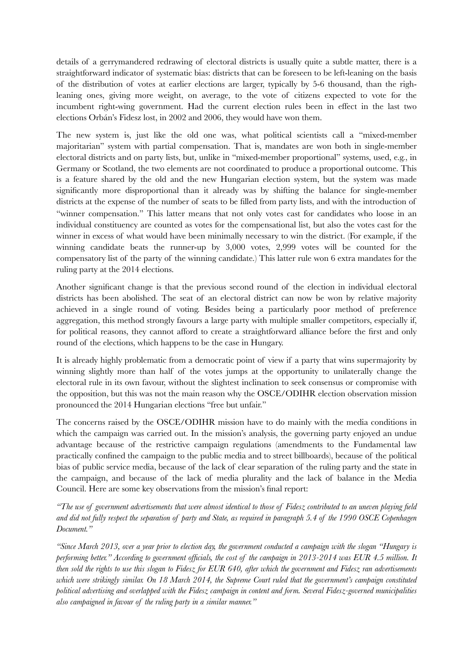details of a gerrymandered redrawing of electoral districts is usually quite a subtle matter, there is a straightforward indicator of systematic bias: districts that can be foreseen to be left-leaning on the basis of the distribution of votes at earlier elections are larger, typically by 5-6 thousand, than the righleaning ones, giving more weight, on average, to the vote of citizens expected to vote for the incumbent right-wing government. Had the current election rules been in effect in the last two elections Orbán's Fidesz lost, in 2002 and 2006, they would have won them.

The new system is, just like the old one was, what political scientists call a "mixed-member majoritarian" system with partial compensation. That is, mandates are won both in single-member electoral districts and on party lists, but, unlike in "mixed-member proportional" systems, used, e.g., in Germany or Scotland, the two elements are not coordinated to produce a proportional outcome. This is a feature shared by the old and the new Hungarian election system, but the system was made significantly more disproportional than it already was by shifting the balance for single-member districts at the expense of the number of seats to be filled from party lists, and with the introduction of "winner compensation." This latter means that not only votes cast for candidates who loose in an individual constituency are counted as votes for the compensational list, but also the votes cast for the winner in excess of what would have been minimally necessary to win the district. (For example, if the winning candidate beats the runner-up by 3,000 votes, 2,999 votes will be counted for the compensatory list of the party of the winning candidate.) This latter rule won 6 extra mandates for the ruling party at the 2014 elections.

Another significant change is that the previous second round of the election in individual electoral districts has been abolished. The seat of an electoral district can now be won by relative majority achieved in a single round of voting. Besides being a particularly poor method of preference aggregation, this method strongly favours a large party with multiple smaller competitors, especially if, for political reasons, they cannot afford to create a straightforward alliance before the first and only round of the elections, which happens to be the case in Hungary.

It is already highly problematic from a democratic point of view if a party that wins supermajority by winning slightly more than half of the votes jumps at the opportunity to unilaterally change the electoral rule in its own favour, without the slightest inclination to seek consensus or compromise with the opposition, but this was not the main reason why the OSCE/ODIHR election observation mission pronounced the 2014 Hungarian elections "free but unfair."

The concerns raised by the OSCE/ODIHR mission have to do mainly with the media conditions in which the campaign was carried out. In the mission's analysis, the governing party enjoyed an undue advantage because of the restrictive campaign regulations (amendments to the Fundamental law practically confined the campaign to the public media and to street billboards), because of the political bias of public service media, because of the lack of clear separation of the ruling party and the state in the campaign, and because of the lack of media plurality and the lack of balance in the Media Council. Here are some key observations from the mission's final report:

*"The use of government advertisements that were almost identical to those of Fidesz contributed to an uneven playing field and did not fully respect the separation of party and State, as required in paragraph 5.4 of the 1990 OSCE Copenhagen Document."* 

*"Since March 2013, over a year prior to election day, the government conducted a campaign with the slogan "Hungary is performing better." According to government officials, the cost of the campaign in 2013-2014 was EUR 4.5 million. It then sold the rights to use this slogan to Fidesz for EUR 640, after which the government and Fidesz ran advertisements which were strikingly similar. On 18 March 2014, the Supreme Court ruled that the government's campaign constituted political advertising and overlapped with the Fidesz campaign in content and form. Several Fidesz-governed municipalities also campaigned in favour of the ruling party in a similar manner."*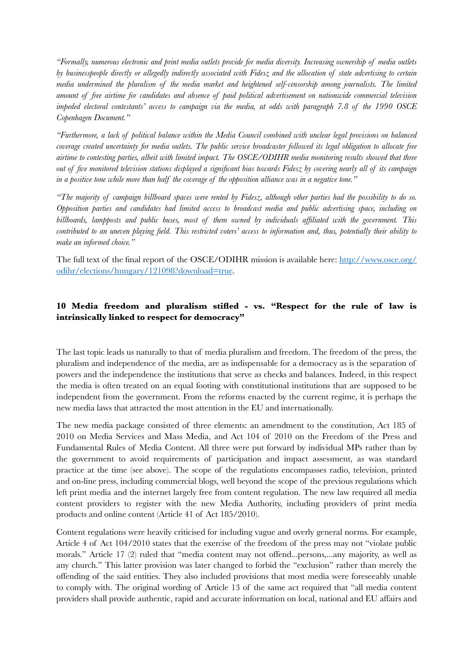*"Formally, numerous electronic and print media outlets provide for media diversity. Increasing ownership of media outlets by businesspeople directly or allegedly indirectly associated with Fidesz and the allocation of state advertising to certain media undermined the pluralism of the media market and heightened self-censorship among journalists. The limited amount of free airtime for candidates and absence of paid political advertisement on nationwide commercial television impeded electoral contestants' access to campaign via the media, at odds with paragraph 7.8 of the 1990 OSCE Copenhagen Document."*

*"Furthermore, a lack of political balance within the Media Council combined with unclear legal provisions on balanced coverage created uncertainty for media outlets. The public service broadcaster followed its legal obligation to allocate free airtime to contesting parties, albeit with limited impact. The OSCE/ODIHR media monitoring results showed that three out of five monitored television stations displayed a significant bias towards Fidesz by covering nearly all of its campaign in a positive tone while more than half the coverage of the opposition alliance was in a negative tone."* 

*"The majority of campaign billboard spaces were rented by Fidesz, although other parties had the possibility to do so. Opposition parties and candidates had limited access to broadcast media and public advertising space, including on billboards, lampposts and public buses, most of them owned by individuals affiliated with the government. This contributed to an uneven playing field. This restricted voters' access to information and, thus, potentially their ability to make an informed choice."* 

The full text of the final report of the OSCE/ODIHR mission is available here: [http://www.osce.org/](http://www.osce.org/odihr/elections/hungary/121098?download=true) [odihr/elections/hungary/121098?download=true.](http://www.osce.org/odihr/elections/hungary/121098?download=true)

## **10 Media freedom and pluralism stifled - vs. "Respect for the rule of law is intrinsically linked to respect for democracy"**

The last topic leads us naturally to that of media pluralism and freedom. The freedom of the press, the pluralism and independence of the media, are as indispensable for a democracy as is the separation of powers and the independence the institutions that serve as checks and balances. Indeed, in this respect the media is often treated on an equal footing with constitutional institutions that are supposed to be independent from the government. From the reforms enacted by the current regime, it is perhaps the new media laws that attracted the most attention in the EU and internationally.

The new media package consisted of three elements: an amendment to the constitution, Act 185 of 2010 on Media Services and Mass Media, and Act 104 of 2010 on the Freedom of the Press and Fundamental Rules of Media Content. All three were put forward by individual MPs rather than by the government to avoid requirements of participation and impact assessment, as was standard practice at the time (see above). The scope of the regulations encompasses radio, television, printed and on-line press, including commercial blogs, well beyond the scope of the previous regulations which left print media and the internet largely free from content regulation. The new law required all media content providers to register with the new Media Authority, including providers of print media products and online content (Article 41 of Act 185/2010).

Content regulations were heavily criticised for including vague and overly general norms. For example, Article 4 of Act 104/2010 states that the exercise of the freedom of the press may not "violate public morals." Article 17 (2) ruled that "media content may not offend...persons,...any majority, as well as any church." This latter provision was later changed to forbid the "exclusion" rather than merely the offending of the said entities. They also included provisions that most media were foreseeably unable to comply with. The original wording of Article 13 of the same act required that "all media content providers shall provide authentic, rapid and accurate information on local, national and EU affairs and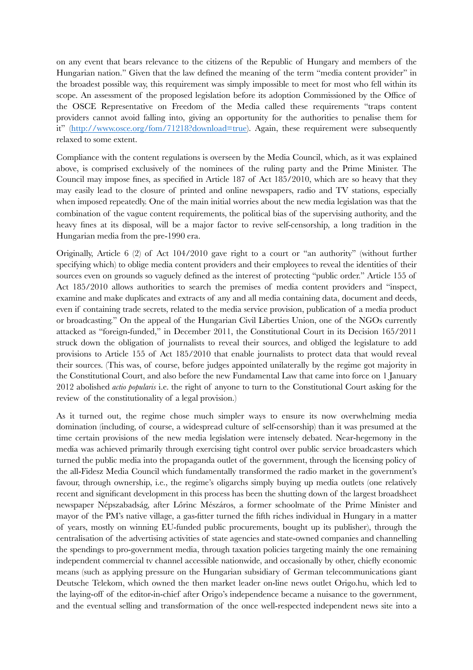on any event that bears relevance to the citizens of the Republic of Hungary and members of the Hungarian nation." Given that the law defined the meaning of the term "media content provider" in the broadest possible way, this requirement was simply impossible to meet for most who fell within its scope. An assessment of the proposed legislation before its adoption Commissioned by the Office of the OSCE Representative on Freedom of the Media called these requirements "traps content providers cannot avoid falling into, giving an opportunity for the authorities to penalise them for it" (<http://www.osce.org/fom/71218?download=true>). Again, these requirement were subsequently relaxed to some extent.

Compliance with the content regulations is overseen by the Media Council, which, as it was explained above, is comprised exclusively of the nominees of the ruling party and the Prime Minister. The Council may impose fines, as specified in Article 187 of Act 185/2010, which are so heavy that they may easily lead to the closure of printed and online newspapers, radio and TV stations, especially when imposed repeatedly. One of the main initial worries about the new media legislation was that the combination of the vague content requirements, the political bias of the supervising authority, and the heavy fines at its disposal, will be a major factor to revive self-censorship, a long tradition in the Hungarian media from the pre-1990 era.

Originally, Article 6 (2) of Act 104/2010 gave right to a court or "an authority" (without further specifying which) to oblige media content providers and their employees to reveal the identities of their sources even on grounds so vaguely defined as the interest of protecting "public order." Article 155 of Act 185/2010 allows authorities to search the premises of media content providers and "inspect, examine and make duplicates and extracts of any and all media containing data, document and deeds, even if containing trade secrets, related to the media service provision, publication of a media product or broadcasting." On the appeal of the Hungarian Civil Liberties Union, one of the NGOs currently attacked as "foreign-funded," in December 2011, the Constitutional Court in its Decision 165/2011 struck down the obligation of journalists to reveal their sources, and obliged the legislature to add provisions to Article 155 of Act 185/2010 that enable journalists to protect data that would reveal their sources. (This was, of course, before judges appointed unilaterally by the regime got majority in the Constitutional Court, and also before the new Fundamental Law that came into force on 1 January 2012 abolished *actio popularis* i.e. the right of anyone to turn to the Constitutional Court asking for the review of the constitutionality of a legal provision.)

As it turned out, the regime chose much simpler ways to ensure its now overwhelming media domination (including, of course, a widespread culture of self-censorship) than it was presumed at the time certain provisions of the new media legislation were intensely debated. Near-hegemony in the media was achieved primarily through exercising tight control over public service broadcasters which turned the public media into the propaganda outlet of the government, through the licensing policy of the all-Fidesz Media Council which fundamentally transformed the radio market in the government's favour, through ownership, i.e., the regime's oligarchs simply buying up media outlets (one relatively recent and significant development in this process has been the shutting down of the largest broadsheet newspaper Népszabadság, after Lőrinc Mészáros, a former schoolmate of the Prime Minister and mayor of the PM's native village, a gas-fitter turned the fifth riches individual in Hungary in a matter of years, mostly on winning EU-funded public procurements, bought up its publisher), through the centralisation of the advertising activities of state agencies and state-owned companies and channelling the spendings to pro-government media, through taxation policies targeting mainly the one remaining independent commercial tv channel accessible nationwide, and occasionally by other, chiefly economic means (such as applying pressure on the Hungarian subsidiary of German telecommunications giant Deutsche Telekom, which owned the then market leader on-line news outlet Origo.hu, which led to the laying-off of the editor-in-chief after Origo's independence became a nuisance to the government, and the eventual selling and transformation of the once well-respected independent news site into a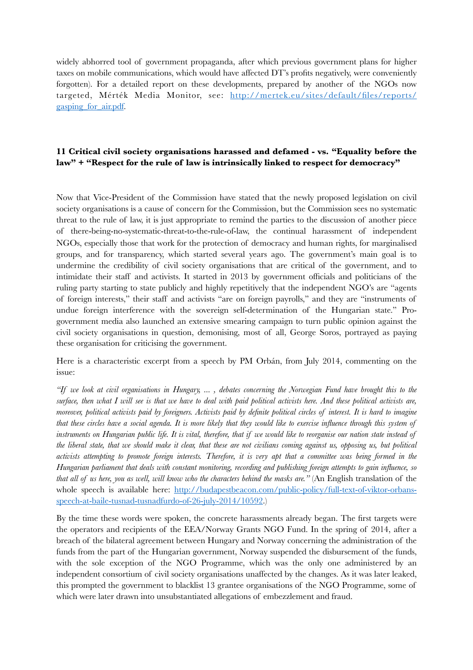widely abhorred tool of government propaganda, after which previous government plans for higher taxes on mobile communications, which would have affected DT's profits negatively, were conveniently forgotten). For a detailed report on these developments, prepared by another of the NGOs now targeted, Mérték Media Monitor, see: [http://mertek.eu/sites/default/files/reports/](http://mertek.eu/sites/default/files/reports/gasping_for_air.pdf) [gasping\\_for\\_air.pdf.](http://mertek.eu/sites/default/files/reports/gasping_for_air.pdf)

### **11 Critical civil society organisations harassed and defamed - vs. "Equality before the law" + "Respect for the rule of law is intrinsically linked to respect for democracy"**

Now that Vice-President of the Commission have stated that the newly proposed legislation on civil society organisations is a cause of concern for the Commission, but the Commission sees no systematic threat to the rule of law, it is just appropriate to remind the parties to the discussion of another piece of there-being-no-systematic-threat-to-the-rule-of-law, the continual harassment of independent NGOs, especially those that work for the protection of democracy and human rights, for marginalised groups, and for transparency, which started several years ago. The government's main goal is to undermine the credibility of civil society organisations that are critical of the government, and to intimidate their staff and activists. It started in 2013 by government officials and politicians of the ruling party starting to state publicly and highly repetitively that the independent NGO's are "agents of foreign interests," their staff and activists "are on foreign payrolls," and they are "instruments of undue foreign interference with the sovereign self-determination of the Hungarian state." Progovernment media also launched an extensive smearing campaign to turn public opinion against the civil society organisations in question, demonising, most of all, George Soros, portrayed as paying these organisation for criticising the government.

Here is a characteristic excerpt from a speech by PM Orbán, from July 2014, commenting on the issue:

*"If we look at civil organisations in Hungary, ... , debates concerning the Norwegian Fund have brought this to the surface, then what I will see is that we have to deal with paid political activists here. And these political activists are, moreover, political activists paid by foreigners. Activists paid by definite political circles of interest. It is hard to imagine that these circles have a social agenda. It is more likely that they would like to exercise influence through this system of instruments on Hungarian public life. It is vital, therefore, that if we would like to reorganise our nation state instead of the liberal state, that we should make it clear, that these are not civilians coming against us, opposing us, but political activists attempting to promote foreign interests. Therefore, it is very apt that a committee was being formed in the Hungarian parliament that deals with constant monitoring, recording and publishing foreign attempts to gain influence, so that all of us here, you as well, will know who the characters behind the masks are."* (An English translation of the [whole speech is available here: http://budapestbeacon.com/public-policy/full-text-of-viktor-orbans](http://budapestbeacon.com/public-policy/full-text-of-viktor-orbans-speech-at-baile-tusnad-tusnadfurdo-of-26-july-2014/10592)[speech-at-baile-tusnad-tusnadfurdo-of-26-july-2014/10592.](http://budapestbeacon.com/public-policy/full-text-of-viktor-orbans-speech-at-baile-tusnad-tusnadfurdo-of-26-july-2014/10592))

By the time these words were spoken, the concrete harassments already began. The first targets were the operators and recipients of the EEA/Norway Grants NGO Fund. In the spring of 2014, after a breach of the bilateral agreement between Hungary and Norway concerning the administration of the funds from the part of the Hungarian government, Norway suspended the disbursement of the funds, with the sole exception of the NGO Programme, which was the only one administered by an independent consortium of civil society organisations unaffected by the changes. As it was later leaked, this prompted the government to blacklist 13 grantee organisations of the NGO Programme, some of which were later drawn into unsubstantiated allegations of embezzlement and fraud.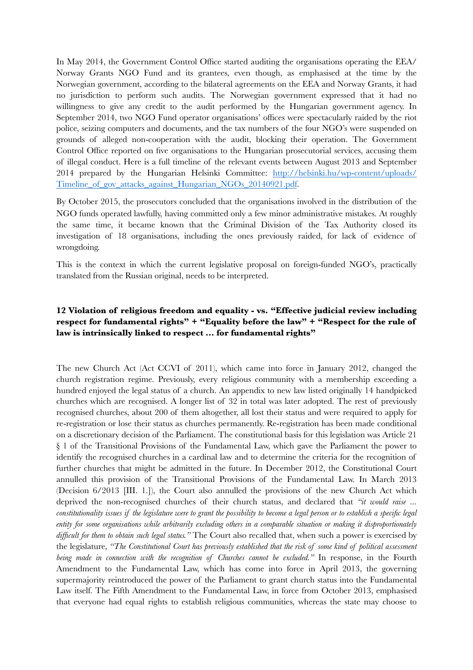In May 2014, the Government Control Office started auditing the organisations operating the EEA/ Norway Grants NGO Fund and its grantees, even though, as emphasised at the time by the Norwegian government, according to the bilateral agreements on the EEA and Norway Grants, it had no jurisdiction to perform such audits. The Norwegian government expressed that it had no willingness to give any credit to the audit performed by the Hungarian government agency. In September 2014, two NGO Fund operator organisations' offices were spectacularly raided by the riot police, seizing computers and documents, and the tax numbers of the four NGO's were suspended on grounds of alleged non-cooperation with the audit, blocking their operation. The Government Control Office reported on five organisations to the Hungarian prosecutorial services, accusing them of illegal conduct. Here is a full timeline of the relevant events between August 2013 and September [2014 prepared by the Hungarian Helsinki Committee: http://helsinki.hu/wp-content/uploads/](http://helsinki.hu/wp-content/uploads/Timeline_of_gov_attacks_against_Hungarian_NGOs_20140921.pdf) Timeline of gov attacks against Hungarian NGOs 20140921.pdf.

By October 2015, the prosecutors concluded that the organisations involved in the distribution of the NGO funds operated lawfully, having committed only a few minor administrative mistakes. At roughly the same time, it became known that the Criminal Division of the Tax Authority closed its investigation of 18 organisations, including the ones previously raided, for lack of evidence of wrongdoing.

This is the context in which the current legislative proposal on foreign-funded NGO's, practically translated from the Russian original, needs to be interpreted.

## **12 Violation of religious freedom and equality - vs. "Effective judicial review including respect for fundamental rights" + "Equality before the law" + "Respect for the rule of law is intrinsically linked to respect … for fundamental rights"**

The new Church Act (Act CCVI of 2011), which came into force in January 2012, changed the church registration regime. Previously, every religious community with a membership exceeding a hundred enjoyed the legal status of a church. An appendix to new law listed originally 14 handpicked churches which are recognised. A longer list of 32 in total was later adopted. The rest of previously recognised churches, about 200 of them altogether, all lost their status and were required to apply for re-registration or lose their status as churches permanently. Re-registration has been made conditional on a discretionary decision of the Parliament. The constitutional basis for this legislation was Article 21 § 1 of the Transitional Provisions of the Fundamental Law, which gave the Parliament the power to identify the recognised churches in a cardinal law and to determine the criteria for the recognition of further churches that might be admitted in the future. In December 2012, the Constitutional Court annulled this provision of the Transitional Provisions of the Fundamental Law. In March 2013 (Decision 6/2013 [III. 1.]), the Court also annulled the provisions of the new Church Act which deprived the non-recognised churches of their church status, and declared that *"it would raise ... constitutionality issues if the legislature were to grant the possibility to become a legal person or to establish a specific legal entity for some organisations while arbitrarily excluding others in a comparable situation or making it disproportionately difficult for them to obtain such legal status."* The Court also recalled that, when such a power is exercised by the legislature, *"The Constitutional Court has previously established that the risk of some kind of political assessment being made in connection with the recognition of Churches cannot be excluded."* In response, in the Fourth Amendment to the Fundamental Law, which has come into force in April 2013, the governing supermajority reintroduced the power of the Parliament to grant church status into the Fundamental Law itself. The Fifth Amendment to the Fundamental Law, in force from October 2013, emphasised that everyone had equal rights to establish religious communities, whereas the state may choose to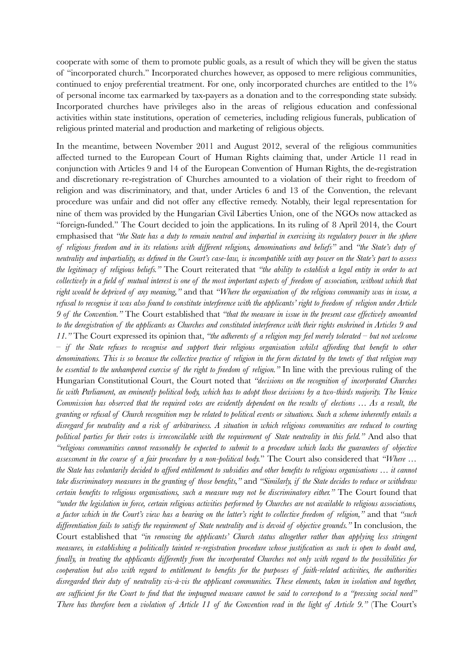cooperate with some of them to promote public goals, as a result of which they will be given the status of "incorporated church." Incorporated churches however, as opposed to mere religious communities, continued to enjoy preferential treatment. For one, only incorporated churches are entitled to the 1% of personal income tax earmarked by tax-payers as a donation and to the corresponding state subsidy. Incorporated churches have privileges also in the areas of religious education and confessional activities within state institutions, operation of cemeteries, including religious funerals, publication of religious printed material and production and marketing of religious objects.

In the meantime, between November 2011 and August 2012, several of the religious communities affected turned to the European Court of Human Rights claiming that, under Article 11 read in conjunction with Articles 9 and 14 of the European Convention of Human Rights, the de-registration and discretionary re-registration of Churches amounted to a violation of their right to freedom of religion and was discriminatory, and that, under Articles 6 and 13 of the Convention, the relevant procedure was unfair and did not offer any effective remedy. Notably, their legal representation for nine of them was provided by the Hungarian Civil Liberties Union, one of the NGOs now attacked as "foreign-funded." The Court decided to join the applications. In its ruling of 8 April 2014, the Court emphasised that *"the State has a duty to remain neutral and impartial in exercising its regulatory power in the sphere of religious freedom and in its relations with different religions, denominations and beliefs"* and *"the State's duty of neutrality and impartiality, as defined in the Court's case-law, is incompatible with any power on the State's part to assess the legitimacy of religious beliefs."* The Court reiterated that *"the ability to establish a legal entity in order to act collectively in a field of mutual interest is one of the most important aspects of freedom of association, without which that right would be deprived of any meaning,"* and that *"Where the organisation of the religious community was in issue, a refusal to recognise it was also found to constitute interference with the applicants' right to freedom of religion under Article 9 of the Convention."* The Court established that *"that the measure in issue in the present case effectively amounted to the deregistration of the applicants as Churches and constituted interference with their rights enshrined in Articles 9 and 11."* The Court expressed its opinion that, *"the adherents of a religion may feel merely tolerated – but not welcome – if the State refuses to recognise and support their religious organisation whilst affording that benefit to other denominations. This is so because the collective practice of religion in the form dictated by the tenets of that religion may be essential to the unhampered exercise of the right to freedom of religion."* In line with the previous ruling of the Hungarian Constitutional Court, the Court noted that *"decisions on the recognition of incorporated Churches lie with Parliament, an eminently political body, which has to adopt those decisions by a two-thirds majority. The Venice Commission has observed that the required votes are evidently dependent on the results of elections … As a result, the granting or refusal of Church recognition may be related to political events or situations. Such a scheme inherently entails a disregard for neutrality and a risk of arbitrariness. A situation in which religious communities are reduced to courting political parties for their votes is irreconcilable with the requirement of State neutrality in this field."* And also that *"religious communities cannot reasonably be expected to submit to a procedure which lacks the guarantees of objective assessment in the course of a fair procedure by a non-political body.*" The Court also considered that *"Where … the State has voluntarily decided to afford entitlement to subsidies and other benefits to religious organisations … it cannot take discriminatory measures in the granting of those benefits,"* and *"Similarly, if the State decides to reduce or withdraw certain benefits to religious organisations, such a measure may not be discriminatory either."* The Court found that *"under the legislation in force, certain religious activities performed by Churches are not available to religious associations, a factor which in the Court's view has a bearing on the latter's right to collective freedom of religion,"* and that *"such differentiation fails to satisfy the requirement of State neutrality and is devoid of objective grounds."* In conclusion, the Court established that *"in removing the applicants' Church status altogether rather than applying less stringent measures, in establishing a politically tainted re-registration procedure whose justification as such is open to doubt and, finally, in treating the applicants differently from the incorporated Churches not only with regard to the possibilities for cooperation but also with regard to entitlement to benefits for the purposes of faith-related activities, the authorities disregarded their duty of neutrality vis-à-vis the applicant communities. These elements, taken in isolation and together, are sufficient for the Court to find that the impugned measure cannot be said to correspond to a "pressing social need" There has therefore been a violation of Article 11 of the Convention read in the light of Article 9."* (The Court's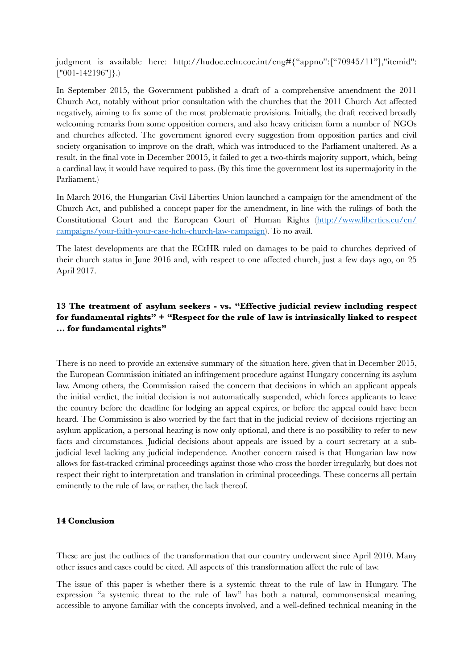judgment is available here: http://hudoc.echr.coe.int/eng#{"appno":["70945/11"],"itemid": ["001-142196"]}.)

In September 2015, the Government published a draft of a comprehensive amendment the 2011 Church Act, notably without prior consultation with the churches that the 2011 Church Act affected negatively, aiming to fix some of the most problematic provisions. Initially, the draft received broadly welcoming remarks from some opposition corners, and also heavy criticism form a number of NGOs and churches affected. The government ignored every suggestion from opposition parties and civil society organisation to improve on the draft, which was introduced to the Parliament unaltered. As a result, in the final vote in December 20015, it failed to get a two-thirds majority support, which, being a cardinal law, it would have required to pass. (By this time the government lost its supermajority in the Parliament.)

In March 2016, the Hungarian Civil Liberties Union launched a campaign for the amendment of the Church Act, and published a concept paper for the amendment, in line with the rulings of both the Constitutional Court and the European Court of Human Rights ([http://www.liberties.eu/en/](http://www.liberties.eu/en/campaigns/your-faith-your-case-hclu-church-law-campaign) [campaigns/your-faith-your-case-hclu-church-law-campaign](http://www.liberties.eu/en/campaigns/your-faith-your-case-hclu-church-law-campaign)). To no avail.

The latest developments are that the ECtHR ruled on damages to be paid to churches deprived of their church status in June 2016 and, with respect to one affected church, just a few days ago, on 25 April 2017.

## **13 The treatment of asylum seekers - vs. "Effective judicial review including respect for fundamental rights" + "Respect for the rule of law is intrinsically linked to respect … for fundamental rights"**

There is no need to provide an extensive summary of the situation here, given that in December 2015, the European Commission initiated an infringement procedure against Hungary concerning its asylum law. Among others, the Commission raised the concern that decisions in which an applicant appeals the initial verdict, the initial decision is not automatically suspended, which forces applicants to leave the country before the deadline for lodging an appeal expires, or before the appeal could have been heard. The Commission is also worried by the fact that in the judicial review of decisions rejecting an asylum application, a personal hearing is now only optional, and there is no possibility to refer to new facts and circumstances. Judicial decisions about appeals are issued by a court secretary at a subjudicial level lacking any judicial independence. Another concern raised is that Hungarian law now allows for fast-tracked criminal proceedings against those who cross the border irregularly, but does not respect their right to interpretation and translation in criminal proceedings. These concerns all pertain eminently to the rule of law, or rather, the lack thereof.

#### **14 Conclusion**

These are just the outlines of the transformation that our country underwent since April 2010. Many other issues and cases could be cited. All aspects of this transformation affect the rule of law.

The issue of this paper is whether there is a systemic threat to the rule of law in Hungary. The expression "a systemic threat to the rule of law" has both a natural, commonsensical meaning, accessible to anyone familiar with the concepts involved, and a well-defined technical meaning in the